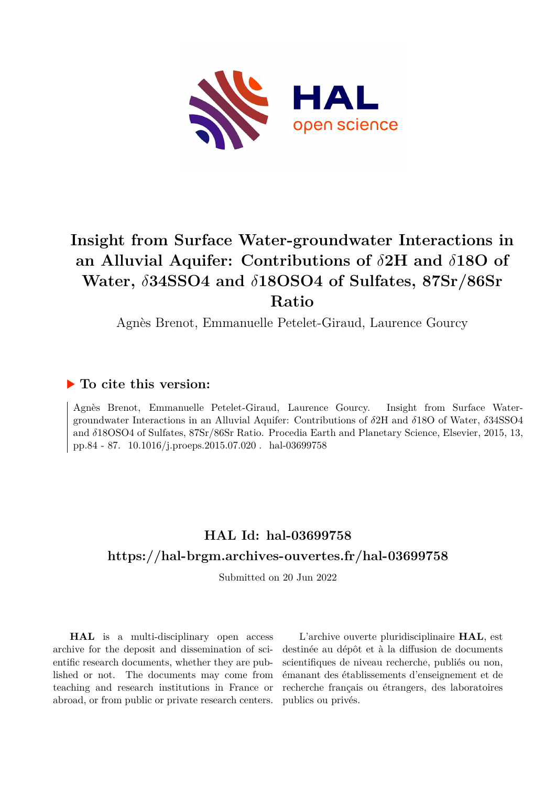

# **Insight from Surface Water-groundwater Interactions in an Alluvial Aquifer: Contributions of** *δ***2H and** *δ***18O of Water,** *δ***34SSO4 and** *δ***18OSO4 of Sulfates, 87Sr/86Sr Ratio**

Agnès Brenot, Emmanuelle Petelet-Giraud, Laurence Gourcy

### **To cite this version:**

Agnès Brenot, Emmanuelle Petelet-Giraud, Laurence Gourcy. Insight from Surface Watergroundwater Interactions in an Alluvial Aquifer: Contributions of *δ*2H and *δ*18O of Water, *δ*34SSO4 and *δ*18OSO4 of Sulfates, 87Sr/86Sr Ratio. Procedia Earth and Planetary Science, Elsevier, 2015, 13, pp.84 - 87. 10.1016/j.proeps.2015.07.020 . hal-03699758

## **HAL Id: hal-03699758 <https://hal-brgm.archives-ouvertes.fr/hal-03699758>**

Submitted on 20 Jun 2022

**HAL** is a multi-disciplinary open access archive for the deposit and dissemination of scientific research documents, whether they are published or not. The documents may come from teaching and research institutions in France or abroad, or from public or private research centers.

L'archive ouverte pluridisciplinaire **HAL**, est destinée au dépôt et à la diffusion de documents scientifiques de niveau recherche, publiés ou non, émanant des établissements d'enseignement et de recherche français ou étrangers, des laboratoires publics ou privés.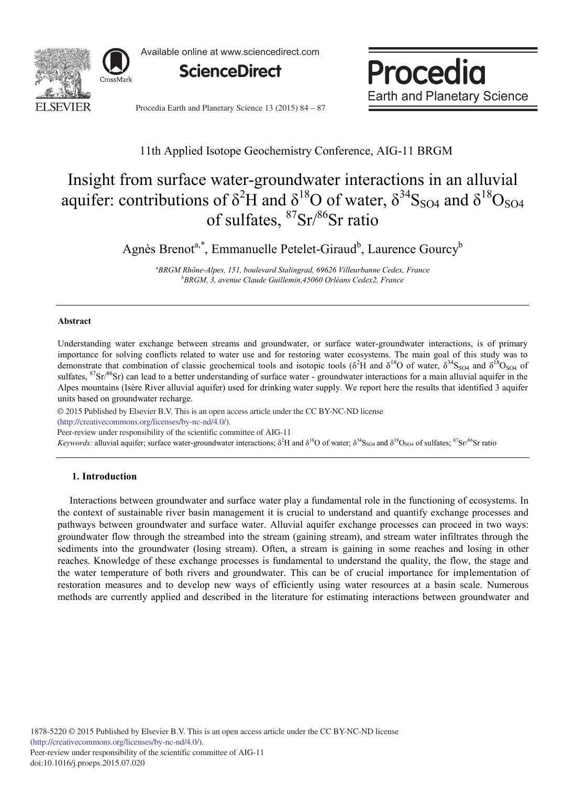

Available online at www.sciencedirect.com



Procedia **Earth and Planetary Science** 

Procedia Earth and Planetary Science 13 (2015) 84 - 87

### 11th Applied Isotope Geochemistry Conference, AIG-11 BRGM

## Insight from surface water-groundwater interactions in an alluvial aquifer: contributions of  $\delta^2$ H and  $\delta^{18}$ O of water,  $\delta^{34}$ S<sub>SO4</sub> and  $\delta^{18}$ O<sub>SO4</sub> of sulfates, 87Sr/86Sr ratio

Agnès Brenot<sup>a,\*</sup>, Emmanuelle Petelet-Giraud<sup>b</sup>, Laurence Gourcy<sup>b</sup>

*a BRGM Rhône-Alpes, 151, boulevard Stalingrad, 69626 Villeurbanne Cedex, France b BRGM, 3, avenue Claude Guillemin,45060 Orléans Cedex2, France* 

#### **Abstract**

Understanding water exchange between streams and groundwater, or surface water-groundwater interactions, is of primary importance for solving conflicts related to water use and for restoring water ecosystems. The main goal of this study was to demonstrate that combination of classic geochemical tools and isotopic tools ( $\delta^2$ H and  $\delta^{18}$ O of water,  $\delta^{34}$ S<sub>SO4</sub> and  $\delta^{18}$ O<sub>SO4</sub> of sulfates,  ${}^{87}Sr/{}^{86}Sr$ ) can lead to a better understanding of surface water - groundwater interactions for a main alluvial aquifer in the Alpes mountains (Isère River alluvial aquifer) used for drinking water supply. We report here the results that identified 3 aquifer units based on groundwater recharge.

© 2015 Published by Elsevier B.V. This is an open access article under the CC BY-NC-ND license

(http://creativecommons.org/licenses/by-nc-nd/4.0/).

Peer-review under responsibility of the scientific committee of AIG-11

*Keywords:* alluvial aquifer; surface water-groundwater interactions; δ<sup>2</sup>H and δ<sup>18</sup>O of water; δ<sup>34</sup>S<sub>SO4</sub> and δ<sup>18</sup>O<sub>SO4</sub> of sulfates; <sup>87</sup>Sr/<sup>86</sup>Sr ratio

#### **1. Introduction**

Interactions between groundwater and surface water play a fundamental role in the functioning of ecosystems. In the context of sustainable river basin management it is crucial to understand and quantify exchange processes and pathways between groundwater and surface water. Alluvial aquifer exchange processes can proceed in two ways: groundwater flow through the streambed into the stream (gaining stream), and stream water infiltrates through the sediments into the groundwater (losing stream). Often, a stream is gaining in some reaches and losing in other reaches. Knowledge of these exchange processes is fundamental to understand the quality, the flow, the stage and the water temperature of both rivers and groundwater. This can be of crucial importance for implementation of restoration measures and to develop new ways of efficiently using water resources at a basin scale. Numerous methods are currently applied and described in the literature for estimating interactions between groundwater and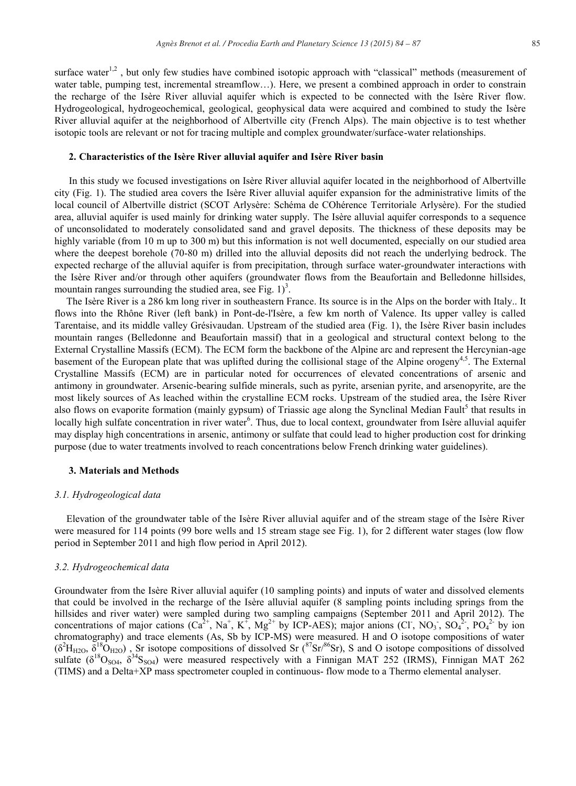surface water<sup>1,2</sup>, but only few studies have combined isotopic approach with "classical" methods (measurement of water table, pumping test, incremental streamflow...). Here, we present a combined approach in order to constrain the recharge of the Isère River alluvial aquifer which is expected to be connected with the Isère River flow. Hydrogeological, hydrogeochemical, geological, geophysical data were acquired and combined to study the Isère River alluvial aquifer at the neighborhood of Albertville city (French Alps). The main objective is to test whether isotopic tools are relevant or not for tracing multiple and complex groundwater/surface-water relationships.

#### **2. Characteristics of the Isère River alluvial aquifer and Isère River basin**

In this study we focused investigations on Isère River alluvial aquifer located in the neighborhood of Albertville city (Fig. 1). The studied area covers the Isère River alluvial aquifer expansion for the administrative limits of the local council of Albertville district (SCOT Arlysère: Schéma de COhérence Territoriale Arlysère). For the studied area, alluvial aquifer is used mainly for drinking water supply. The Isère alluvial aquifer corresponds to a sequence of unconsolidated to moderately consolidated sand and gravel deposits. The thickness of these deposits may be highly variable (from 10 m up to 300 m) but this information is not well documented, especially on our studied area where the deepest borehole (70-80 m) drilled into the alluvial deposits did not reach the underlying bedrock. The expected recharge of the alluvial aquifer is from precipitation, through surface water-groundwater interactions with the Isère River and/or through other aquifers (groundwater flows from the Beaufortain and Belledonne hillsides, mountain ranges surrounding the studied area, see Fig.  $1$ )<sup>3</sup>.

The Isère River is a 286 km long river in southeastern France. Its source is in the Alps on the border with Italy.. It flows into the Rhône River (left bank) in Pont-de-l'Isère, a few km north of Valence. Its upper valley is called Tarentaise, and its middle valley Grésivaudan. Upstream of the studied area (Fig. 1), the Isère River basin includes mountain ranges (Belledonne and Beaufortain massif) that in a geological and structural context belong to the External Crystalline Massifs (ECM). The ECM form the backbone of the Alpine arc and represent the Hercynian-age basement of the European plate that was uplifted during the collisional stage of the Alpine orogeny<sup>4,5</sup>. The External Crystalline Massifs (ECM) are in particular noted for occurrences of elevated concentrations of arsenic and antimony in groundwater. Arsenic-bearing sulfide minerals, such as pyrite, arsenian pyrite, and arsenopyrite, are the most likely sources of As leached within the crystalline ECM rocks. Upstream of the studied area, the Isère River also flows on evaporite formation (mainly gypsum) of Triassic age along the Synclinal Median Fault<sup>5</sup> that results in locally high sulfate concentration in river water<sup>6</sup>. Thus, due to local context, groundwater from Isère alluvial aquifer may display high concentrations in arsenic, antimony or sulfate that could lead to higher production cost for drinking purpose (due to water treatments involved to reach concentrations below French drinking water guidelines).

#### **3. Materials and Methods**

#### *3.1. Hydrogeological data*

Elevation of the groundwater table of the Isère River alluvial aquifer and of the stream stage of the Isère River were measured for 114 points (99 bore wells and 15 stream stage see Fig. 1), for 2 different water stages (low flow period in September 2011 and high flow period in April 2012).

#### *3.2. Hydrogeochemical data*

Groundwater from the Isère River alluvial aquifer (10 sampling points) and inputs of water and dissolved elements that could be involved in the recharge of the Isère alluvial aquifer (8 sampling points including springs from the hillsides and river water) were sampled during two sampling campaigns (September 2011 and April 2012). The concentrations of major cations  $(Ca^{2+}, Na^+, K^+, Mg^{2+}$  by ICP-AES); major anions  $(Cl, NO_3, SO_4^{2-}, PO_4^{2-}$  by ion chromatography) and trace elements (As, Sb by ICP-MS) were measured. H and O isotope compositions of water  $(\delta^2 H_{H2O}, \delta^{18}O_{H2O})$ , Sr isotope compositions of dissolved Sr ( $^{87}Sr/86}Sr$ ), S and O isotope compositions of dissolved sulfate  $(\delta^{18}O_{SO4}, \delta^{34}S_{SO4})$  were measured respectively with a Finnigan MAT 252 (IRMS), Finnigan MAT 262 (TIMS) and a Delta+XP mass spectrometer coupled in continuous- flow mode to a Thermo elemental analyser.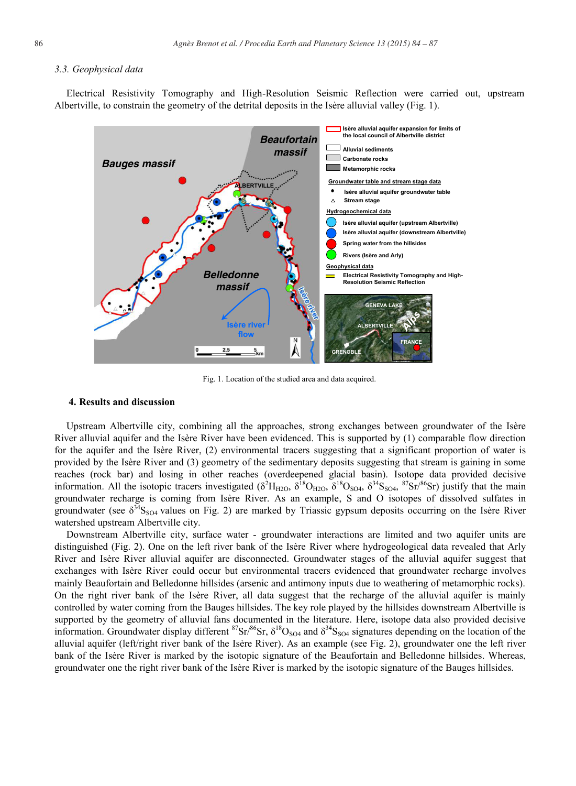#### *3.3. Geophysical data*

Electrical Resistivity Tomography and High-Resolution Seismic Reflection were carried out, upstream Albertville, to constrain the geometry of the detrital deposits in the Isère alluvial valley (Fig. 1).



Fig. 1. Location of the studied area and data acquired.

#### **4. Results and discussion**

Upstream Albertville city, combining all the approaches, strong exchanges between groundwater of the Isère River alluvial aquifer and the Isère River have been evidenced. This is supported by (1) comparable flow direction for the aquifer and the Isère River, (2) environmental tracers suggesting that a significant proportion of water is provided by the Isère River and (3) geometry of the sedimentary deposits suggesting that stream is gaining in some reaches (rock bar) and losing in other reaches (overdeepened glacial basin). Isotope data provided decisive information. All the isotopic tracers investigated  $(\delta^2H_{H2O}, \delta^{18}O_{H2O}, \delta^{18}O_{SO4}, \delta^{34}S_{SO4}, \delta^{7}Sr)^{86}Sr)$  justify that the main groundwater recharge is coming from Isère River. As an example, S and O isotopes of dissolved sulfates in groundwater (see  $\delta^{34}S_{SO4}$  values on Fig. 2) are marked by Triassic gypsum deposits occurring on the Isère River watershed upstream Albertville city.

Downstream Albertville city, surface water - groundwater interactions are limited and two aquifer units are distinguished (Fig. 2). One on the left river bank of the Isère River where hydrogeological data revealed that Arly River and Isère River alluvial aquifer are disconnected. Groundwater stages of the alluvial aquifer suggest that exchanges with Isère River could occur but environmental tracers evidenced that groundwater recharge involves mainly Beaufortain and Belledonne hillsides (arsenic and antimony inputs due to weathering of metamorphic rocks). On the right river bank of the Isère River, all data suggest that the recharge of the alluvial aquifer is mainly controlled by water coming from the Bauges hillsides. The key role played by the hillsides downstream Albertville is supported by the geometry of alluvial fans documented in the literature. Here, isotope data also provided decisive information. Groundwater display different  ${}^{87}Sr/{}^{86}Sr$ ,  $\delta {}^{18}O_{SO4}$  and  $\delta {}^{34}S_{SO4}$  signatures depending on the location of the alluvial aquifer (left/right river bank of the Isère River). As an example (see Fig. 2), groundwater one the left river bank of the Isère River is marked by the isotopic signature of the Beaufortain and Belledonne hillsides. Whereas, groundwater one the right river bank of the Isère River is marked by the isotopic signature of the Bauges hillsides.